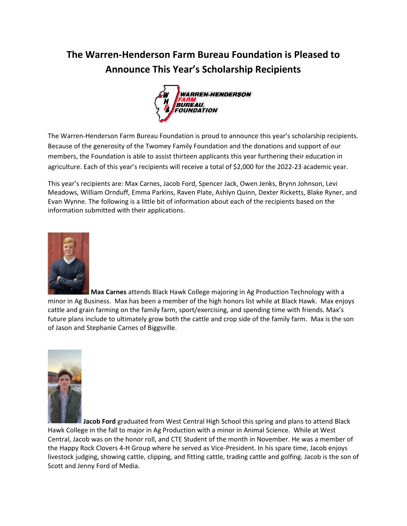## **The Warren-Henderson Farm Bureau Foundation is Pleased to Announce This Year's Scholarship Recipients**



The Warren-Henderson Farm Bureau Foundation is proud to announce this year's scholarship recipients. Because of the generosity of the Twomey Family Foundation and the donations and support of our members, the Foundation is able to assist thirteen applicants this year furthering their education in agriculture. Each of this year's recipients will receive a total of \$2,000 for the 2022-23 academic year.

This year's recipients are: Max Carnes, Jacob Ford, Spencer Jack, Owen Jenks, Brynn Johnson, Levi Meadows, William Ornduff, Emma Parkins, Raven Plate, Ashlyn Quinn, Dexter Ricketts, Blake Ryner, and Evan Wynne. The following is a little bit of information about each of the recipients based on the information submitted with their applications.



**Max Carnes** attends Black Hawk College majoring in Ag Production Technology with a minor in Ag Business. Max has been a member of the high honors list while at Black Hawk. Max enjoys cattle and grain farming on the family farm, sport/exercising, and spending time with friends. Max's future plans include to ultimately grow both the cattle and crop side of the family farm. Max is the son of Jason and Stephanie Carnes of Biggsville.



**Jacob Ford** graduated from West Central High School this spring and plans to attend Black Hawk College in the fall to major in Ag Production with a minor in Animal Science. While at West Central, Jacob was on the honor roll, and CTE Student of the month in November. He was a member of the Happy Rock Clovers 4-H Group where he served as Vice-President. In his spare time, Jacob enjoys livestock judging, showing cattle, clipping, and fitting cattle, trading cattle and golfing. Jacob is the son of Scott and Jenny Ford of Media.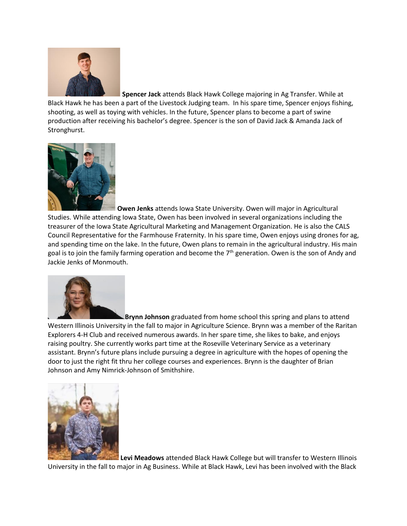

**Spencer Jack** attends Black Hawk College majoring in Ag Transfer. While at

Black Hawk he has been a part of the Livestock Judging team. In his spare time, Spencer enjoys fishing, shooting, as well as toying with vehicles. In the future, Spencer plans to become a part of swine production after receiving his bachelor's degree. Spencer is the son of David Jack & Amanda Jack of Stronghurst.



**Owen Jenks** attends Iowa State University. Owen will major in Agricultural Studies. While attending Iowa State, Owen has been involved in several organizations including the treasurer of the Iowa State Agricultural Marketing and Management Organization. He is also the CALS Council Representative for the Farmhouse Fraternity. In his spare time, Owen enjoys using drones for ag, and spending time on the lake. In the future, Owen plans to remain in the agricultural industry. His main goal is to join the family farming operation and become the  $7<sup>th</sup>$  generation. Owen is the son of Andy and Jackie Jenks of Monmouth.



**Brynn Johnson** graduated from home school this spring and plans to attend Western Illinois University in the fall to major in Agriculture Science. Brynn was a member of the Raritan Explorers 4-H Club and received numerous awards. In her spare time, she likes to bake, and enjoys raising poultry. She currently works part time at the Roseville Veterinary Service as a veterinary assistant. Brynn's future plans include pursuing a degree in agriculture with the hopes of opening the door to just the right fit thru her college courses and experiences. Brynn is the daughter of Brian Johnson and Amy Nimrick-Johnson of Smithshire.



**Levi Meadows** attended Black Hawk College but will transfer to Western Illinois University in the fall to major in Ag Business. While at Black Hawk, Levi has been involved with the Black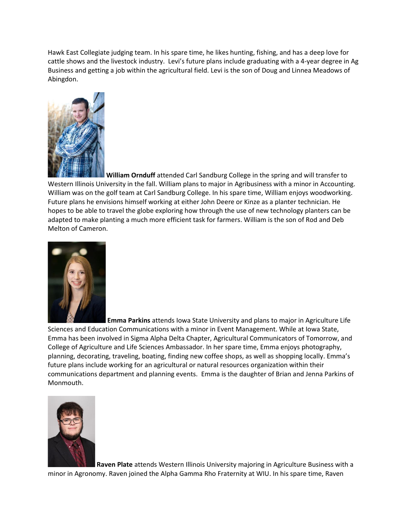Hawk East Collegiate judging team. In his spare time, he likes hunting, fishing, and has a deep love for cattle shows and the livestock industry. Levi's future plans include graduating with a 4-year degree in Ag Business and getting a job within the agricultural field. Levi is the son of Doug and Linnea Meadows of Abingdon.



**William Ornduff** attended Carl Sandburg College in the spring and will transfer to Western Illinois University in the fall. William plans to major in Agribusiness with a minor in Accounting. William was on the golf team at Carl Sandburg College. In his spare time, William enjoys woodworking. Future plans he envisions himself working at either John Deere or Kinze as a planter technician. He hopes to be able to travel the globe exploring how through the use of new technology planters can be adapted to make planting a much more efficient task for farmers. William is the son of Rod and Deb Melton of Cameron.



**Emma Parkins** attends Iowa State University and plans to major in Agriculture Life Sciences and Education Communications with a minor in Event Management. While at Iowa State, Emma has been involved in Sigma Alpha Delta Chapter, Agricultural Communicators of Tomorrow, and College of Agriculture and Life Sciences Ambassador. In her spare time, Emma enjoys photography, planning, decorating, traveling, boating, finding new coffee shops, as well as shopping locally. Emma's future plans include working for an agricultural or natural resources organization within their communications department and planning events. Emma is the daughter of Brian and Jenna Parkins of Monmouth.



**Raven Plate** attends Western Illinois University majoring in Agriculture Business with a minor in Agronomy. Raven joined the Alpha Gamma Rho Fraternity at WIU. In his spare time, Raven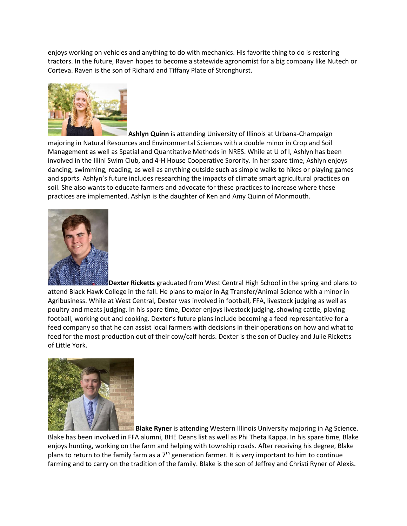enjoys working on vehicles and anything to do with mechanics. His favorite thing to do is restoring tractors. In the future, Raven hopes to become a statewide agronomist for a big company like Nutech or Corteva. Raven is the son of Richard and Tiffany Plate of Stronghurst.



**Ashlyn Quinn** is attending University of Illinois at Urbana-Champaign majoring in Natural Resources and Environmental Sciences with a double minor in Crop and Soil Management as well as Spatial and Quantitative Methods in NRES. While at U of I, Ashlyn has been involved in the Illini Swim Club, and 4-H House Cooperative Sorority. In her spare time, Ashlyn enjoys dancing, swimming, reading, as well as anything outside such as simple walks to hikes or playing games and sports. Ashlyn's future includes researching the impacts of climate smart agricultural practices on soil. She also wants to educate farmers and advocate for these practices to increase where these practices are implemented. Ashlyn is the daughter of Ken and Amy Quinn of Monmouth.



**Dexter Ricketts** graduated from West Central High School in the spring and plans to attend Black Hawk College in the fall. He plans to major in Ag Transfer/Animal Science with a minor in Agribusiness. While at West Central, Dexter was involved in football, FFA, livestock judging as well as poultry and meats judging. In his spare time, Dexter enjoys livestock judging, showing cattle, playing football, working out and cooking. Dexter's future plans include becoming a feed representative for a feed company so that he can assist local farmers with decisions in their operations on how and what to feed for the most production out of their cow/calf herds. Dexter is the son of Dudley and Julie Ricketts of Little York.



**Blake Ryner** is attending Western Illinois University majoring in Ag Science. Blake has been involved in FFA alumni, BHE Deans list as well as Phi Theta Kappa. In his spare time, Blake enjoys hunting, working on the farm and helping with township roads. After receiving his degree, Blake plans to return to the family farm as a  $7<sup>th</sup>$  generation farmer. It is very important to him to continue farming and to carry on the tradition of the family. Blake is the son of Jeffrey and Christi Ryner of Alexis.